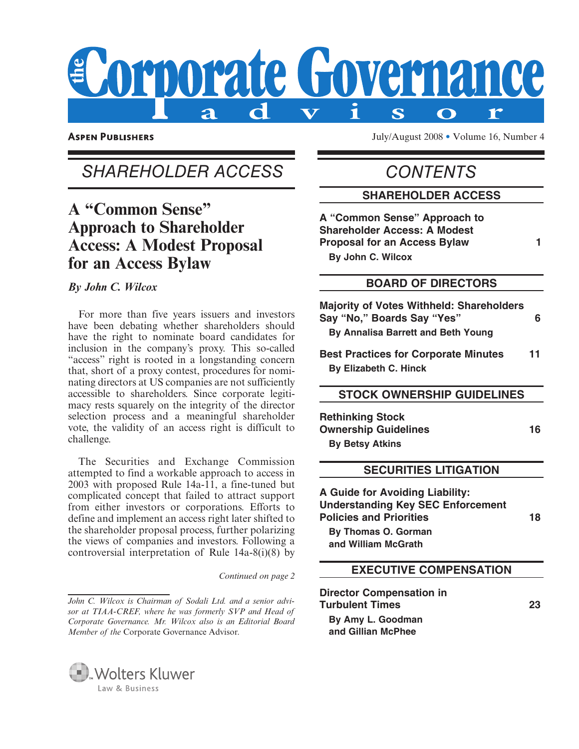

**ASPEN PUBLISHERS** 

July/August 2008 • Volume 16, Number 4

# SHAREHOLDER ACCESS

# **A "Common Sense" Approach to Shareholder Access: A Modest Proposal for an Access Bylaw**

 *By John C. Wilcox* 

 For more than five years issuers and investors have been debating whether shareholders should have the right to nominate board candidates for inclusion in the company's proxy. This so-called "access" right is rooted in a longstanding concern that, short of a proxy contest, procedures for nominating directors at US companies are not sufficiently accessible to shareholders. Since corporate legitimacy rests squarely on the integrity of the director selection process and a meaningful shareholder vote, the validity of an access right is difficult to challenge.

 The Securities and Exchange Commission attempted to find a workable approach to access in 2003 with proposed Rule 14a-11, a fine-tuned but complicated concept that failed to attract support from either investors or corporations. Efforts to define and implement an access right later shifted to the shareholder proposal process, further polarizing the views of companies and investors. Following a controversial interpretation of Rule 14a-8(i)(8) by

*Continued on page 2*

*John C. Wilcox is Chairman of Sodali Ltd. and a senior advisor at TIAA-CREF, where he was formerly SVP and Head of Corporate Governance. Mr. Wilcox also is an Editorial Board Member of the* Corporate Governance Advisor.



**CONTENTS** 

#### **SHAREHOLDER ACCESS**

**A "Common Sense" Approach to Shareholder Access: A Modest Proposal for an Access Bylaw 1 By John C. Wilcox**

#### **BOARD OF DIRECTORS**

**Majority of Votes Withheld: Shareholders Say "No," Boards Say "Yes" 6 By Annalisa Barrett and Beth Young**

**Best Practices for Corporate Minutes 11 By Elizabeth C. Hinck**

#### **STOCK OWNERSHIP GUIDELINES**

**Rethinking Stock Ownership Guidelines** 16 **By Betsy Atkins** 

#### **SECURITIES LITIGATION**

**A Guide for Avoiding Liability: Understanding Key SEC Enforcement Policies and Priorities 18 By Thomas O. Gorman** 

**and William McGrath**

#### **EXECUTIVE COMPENSATION**

**Director Compensation in Turbulent Times 23 By Amy L. Goodman and Gillian McPhee**